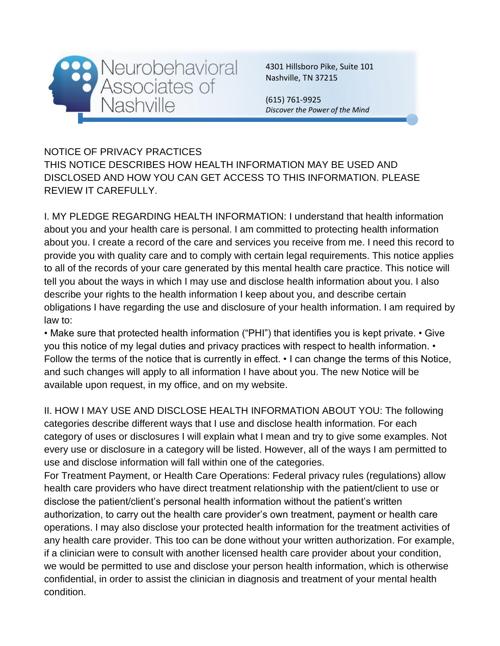

4301 Hillsboro Pike, Suite 101 Nashville, TN 37215

(615) 761-9925 *Discover the Power of the Mind*

NOTICE OF PRIVACY PRACTICES THIS NOTICE DESCRIBES HOW HEALTH INFORMATION MAY BE USED AND DISCLOSED AND HOW YOU CAN GET ACCESS TO THIS INFORMATION. PLEASE REVIEW IT CAREFULLY.

I. MY PLEDGE REGARDING HEALTH INFORMATION: I understand that health information about you and your health care is personal. I am committed to protecting health information about you. I create a record of the care and services you receive from me. I need this record to provide you with quality care and to comply with certain legal requirements. This notice applies to all of the records of your care generated by this mental health care practice. This notice will tell you about the ways in which I may use and disclose health information about you. I also describe your rights to the health information I keep about you, and describe certain obligations I have regarding the use and disclosure of your health information. I am required by law to:

• Make sure that protected health information ("PHI") that identifies you is kept private. • Give you this notice of my legal duties and privacy practices with respect to health information. • Follow the terms of the notice that is currently in effect.  $\cdot$  I can change the terms of this Notice, and such changes will apply to all information I have about you. The new Notice will be available upon request, in my office, and on my website.

II. HOW I MAY USE AND DISCLOSE HEALTH INFORMATION ABOUT YOU: The following categories describe different ways that I use and disclose health information. For each category of uses or disclosures I will explain what I mean and try to give some examples. Not every use or disclosure in a category will be listed. However, all of the ways I am permitted to use and disclose information will fall within one of the categories.

For Treatment Payment, or Health Care Operations: Federal privacy rules (regulations) allow health care providers who have direct treatment relationship with the patient/client to use or disclose the patient/client's personal health information without the patient's written authorization, to carry out the health care provider's own treatment, payment or health care operations. I may also disclose your protected health information for the treatment activities of any health care provider. This too can be done without your written authorization. For example, if a clinician were to consult with another licensed health care provider about your condition, we would be permitted to use and disclose your person health information, which is otherwise confidential, in order to assist the clinician in diagnosis and treatment of your mental health condition.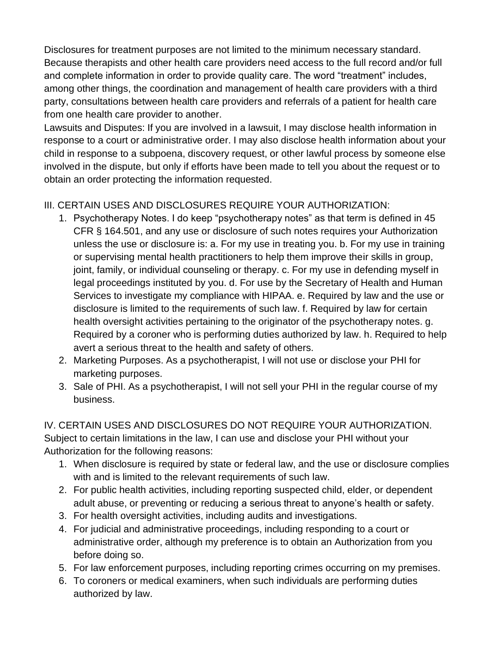Disclosures for treatment purposes are not limited to the minimum necessary standard. Because therapists and other health care providers need access to the full record and/or full and complete information in order to provide quality care. The word "treatment" includes, among other things, the coordination and management of health care providers with a third party, consultations between health care providers and referrals of a patient for health care from one health care provider to another.

Lawsuits and Disputes: If you are involved in a lawsuit, I may disclose health information in response to a court or administrative order. I may also disclose health information about your child in response to a subpoena, discovery request, or other lawful process by someone else involved in the dispute, but only if efforts have been made to tell you about the request or to obtain an order protecting the information requested.

## III. CERTAIN USES AND DISCLOSURES REQUIRE YOUR AUTHORIZATION:

- 1. Psychotherapy Notes. I do keep "psychotherapy notes" as that term is defined in 45 CFR § 164.501, and any use or disclosure of such notes requires your Authorization unless the use or disclosure is: a. For my use in treating you. b. For my use in training or supervising mental health practitioners to help them improve their skills in group, joint, family, or individual counseling or therapy. c. For my use in defending myself in legal proceedings instituted by you. d. For use by the Secretary of Health and Human Services to investigate my compliance with HIPAA. e. Required by law and the use or disclosure is limited to the requirements of such law. f. Required by law for certain health oversight activities pertaining to the originator of the psychotherapy notes. g. Required by a coroner who is performing duties authorized by law. h. Required to help avert a serious threat to the health and safety of others.
- 2. Marketing Purposes. As a psychotherapist, I will not use or disclose your PHI for marketing purposes.
- 3. Sale of PHI. As a psychotherapist, I will not sell your PHI in the regular course of my business.

## IV. CERTAIN USES AND DISCLOSURES DO NOT REQUIRE YOUR AUTHORIZATION.

Subject to certain limitations in the law, I can use and disclose your PHI without your Authorization for the following reasons:

- 1. When disclosure is required by state or federal law, and the use or disclosure complies with and is limited to the relevant requirements of such law.
- 2. For public health activities, including reporting suspected child, elder, or dependent adult abuse, or preventing or reducing a serious threat to anyone's health or safety.
- 3. For health oversight activities, including audits and investigations.
- 4. For judicial and administrative proceedings, including responding to a court or administrative order, although my preference is to obtain an Authorization from you before doing so.
- 5. For law enforcement purposes, including reporting crimes occurring on my premises.
- 6. To coroners or medical examiners, when such individuals are performing duties authorized by law.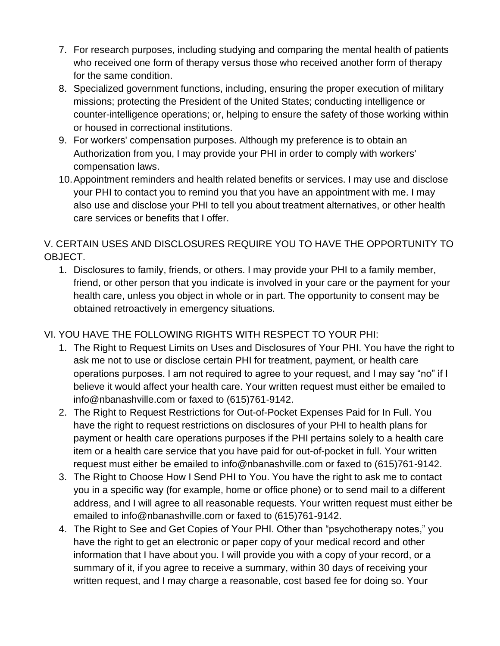- 7. For research purposes, including studying and comparing the mental health of patients who received one form of therapy versus those who received another form of therapy for the same condition.
- 8. Specialized government functions, including, ensuring the proper execution of military missions; protecting the President of the United States; conducting intelligence or counter-intelligence operations; or, helping to ensure the safety of those working within or housed in correctional institutions.
- 9. For workers' compensation purposes. Although my preference is to obtain an Authorization from you, I may provide your PHI in order to comply with workers' compensation laws.
- 10.Appointment reminders and health related benefits or services. I may use and disclose your PHI to contact you to remind you that you have an appointment with me. I may also use and disclose your PHI to tell you about treatment alternatives, or other health care services or benefits that I offer.

V. CERTAIN USES AND DISCLOSURES REQUIRE YOU TO HAVE THE OPPORTUNITY TO OBJECT.

1. Disclosures to family, friends, or others. I may provide your PHI to a family member, friend, or other person that you indicate is involved in your care or the payment for your health care, unless you object in whole or in part. The opportunity to consent may be obtained retroactively in emergency situations.

## VI. YOU HAVE THE FOLLOWING RIGHTS WITH RESPECT TO YOUR PHI:

- 1. The Right to Request Limits on Uses and Disclosures of Your PHI. You have the right to ask me not to use or disclose certain PHI for treatment, payment, or health care operations purposes. I am not required to agree to your request, and I may say "no" if I believe it would affect your health care. Your written request must either be emailed to info@nbanashville.com or faxed to (615)761-9142.
- 2. The Right to Request Restrictions for Out-of-Pocket Expenses Paid for In Full. You have the right to request restrictions on disclosures of your PHI to health plans for payment or health care operations purposes if the PHI pertains solely to a health care item or a health care service that you have paid for out-of-pocket in full. Your written request must either be emailed to info@nbanashville.com or faxed to (615)761-9142.
- 3. The Right to Choose How I Send PHI to You. You have the right to ask me to contact you in a specific way (for example, home or office phone) or to send mail to a different address, and I will agree to all reasonable requests. Your written request must either be emailed to info@nbanashville.com or faxed to (615)761-9142.
- 4. The Right to See and Get Copies of Your PHI. Other than "psychotherapy notes," you have the right to get an electronic or paper copy of your medical record and other information that I have about you. I will provide you with a copy of your record, or a summary of it, if you agree to receive a summary, within 30 days of receiving your written request, and I may charge a reasonable, cost based fee for doing so. Your